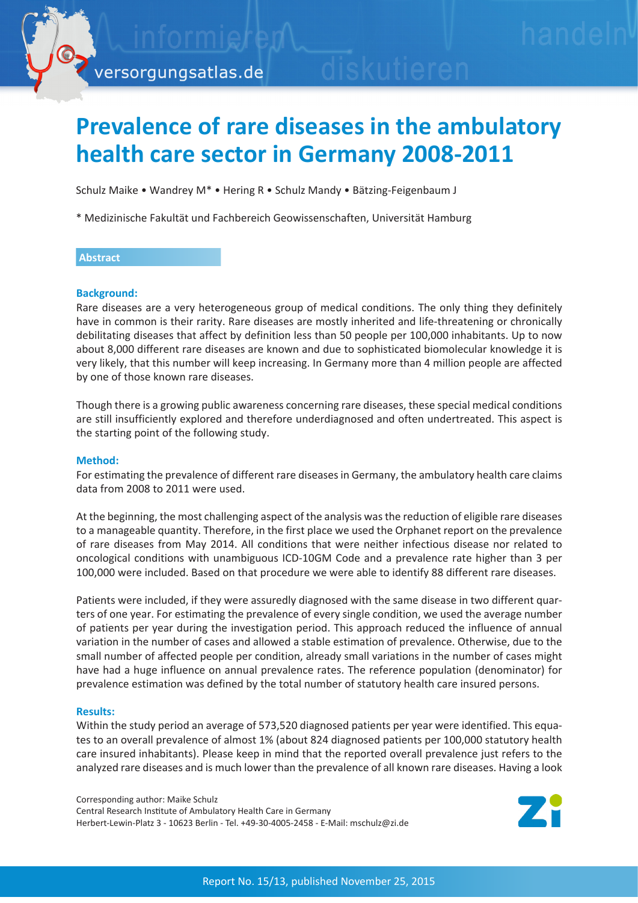# **Prevalence of rare diseases in the ambulatory health care sector in Germany 2008-2011**

Schulz Maike • Wandrey M\* • Hering R • Schulz Mandy • Bätzing-Feigenbaum J

\* Medizinische Fakultät und Fachbereich Geowissenschaften, Universität Hamburg

# **Abstract**

## **Background:**

Rare diseases are a very heterogeneous group of medical conditions. The only thing they definitely have in common is their rarity. Rare diseases are mostly inherited and life-threatening or chronically debilitating diseases that affect by definition less than 50 people per 100,000 inhabitants. Up to now about 8,000 different rare diseases are known and due to sophisticated biomolecular knowledge it is very likely, that this number will keep increasing. In Germany more than 4 million people are affected by one of those known rare diseases.

Though there is a growing public awareness concerning rare diseases, these special medical conditions are still insufficiently explored and therefore underdiagnosed and often undertreated. This aspect is the starting point of the following study.

#### **Method:**

For estimating the prevalence of different rare diseases in Germany, the ambulatory health care claims data from 2008 to 2011 were used.

At the beginning, the most challenging aspect of the analysis was the reduction of eligible rare diseases to a manageable quantity. Therefore, in the first place we used the Orphanet report on the prevalence of rare diseases from May 2014. All conditions that were neither infectious disease nor related to oncological conditions with unambiguous ICD-10GM Code and a prevalence rate higher than 3 per 100,000 were included. Based on that procedure we were able to identify 88 different rare diseases.

Patients were included, if they were assuredly diagnosed with the same disease in two different quarters of one year. For estimating the prevalence of every single condition, we used the average number of patients per year during the investigation period. This approach reduced the influence of annual variation in the number of cases and allowed a stable estimation of prevalence. Otherwise, due to the small number of affected people per condition, already small variations in the number of cases might have had a huge influence on annual prevalence rates. The reference population (denominator) for prevalence estimation was defined by the total number of statutory health care insured persons.

#### **Results:**

Within the study period an average of 573,520 diagnosed patients per year were identified. This equates to an overall prevalence of almost 1% (about 824 diagnosed patients per 100,000 statutory health care insured inhabitants). Please keep in mind that the reported overall prevalence just refers to the analyzed rare diseases and is much lower than the prevalence of all known rare diseases. Having a look

Corresponding author: Maike Schulz Central Research Institute of Ambulatory Health Care in Germany Herbert-Lewin-Platz 3 - 10623 Berlin - Tel. +49-30-4005-2458 - E-Mail: mschulz@zi.de